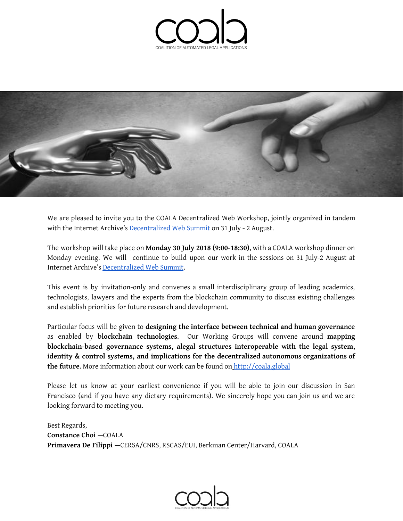



We are pleased to invite you to the COALA Decentralized Web Workshop, jointly organized in tandem with the Internet Archive's [Decentralized](https://decentralizedweb.net/) Web Summit on 31 July - 2 August.

The workshop will take place on **Monday 30 July 2018 (9:00-18:30)**, with a COALA workshop dinner on Monday evening. We will continue to build upon our work in the sessions on 31 July-2 August at Internet Archive's [Decentralized](https://decentralizedweb.net/) Web Summit.

This event is by invitation-only and convenes a small interdisciplinary group of leading academics, technologists, lawyers and the experts from the blockchain community to discuss existing challenges and establish priorities for future research and development.

Particular focus will be given to **designing the interface between technical and human governance** as enabled by **blockchain technologies**. Our Working Groups will convene around **mapping blockchain-based governance systems, alegal structures interoperable with the legal system, identity & control systems, and implications for the decentralized autonomous organizations of the future**. More information about our work can be found on [http://coala.global](http://coala.global/)

Please let us know at your earliest convenience if you will be able to join our discussion in San Francisco (and if you have any dietary requirements). We sincerely hope you can join us and we are looking forward to meeting you.

Best Regards, **Constance Choi** —COALA **Primavera De Filippi —**CERSA/CNRS, RSCAS/EUI, Berkman Center/Harvard, COALA

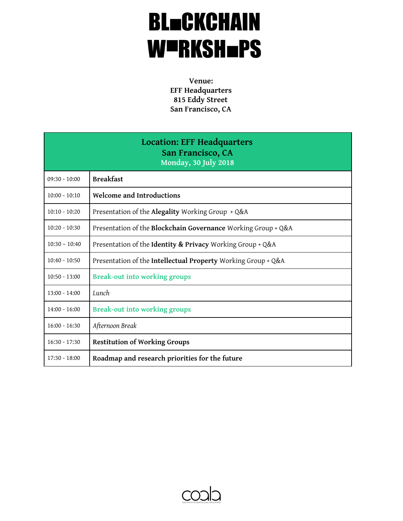## **BL=CKCHAIN** WURKSH=PS

**Venue: EFF Headquarters 815 Eddy Street San Francisco, CA**

| Location: EFF Headquarters<br>San Francisco, CA<br>Monday, 30 July 2018 |                                                               |
|-------------------------------------------------------------------------|---------------------------------------------------------------|
| $09:30 - 10:00$                                                         | <b>Breakfast</b>                                              |
| $10:00 - 10:10$                                                         | Welcome and Introductions                                     |
| $10:10 - 10:20$                                                         | Presentation of the Alegality Working Group + Q&A             |
| $10:20 - 10:30$                                                         | Presentation of the Blockchain Governance Working Group + Q&A |
| $10:30 - 10:40$                                                         | Presentation of the Identity & Privacy Working Group + Q&A    |
| $10:40 - 10:50$                                                         | Presentation of the Intellectual Property Working Group + Q&A |
| $10:50 - 13:00$                                                         | <b>Break-out into working groups</b>                          |
| $13:00 - 14:00$                                                         | Lunch                                                         |
| $14:00 - 16:00$                                                         | <b>Break-out into working groups</b>                          |
| $16:00 - 16:30$                                                         | Afternoon Break                                               |
| $16:30 - 17:30$                                                         | <b>Restitution of Working Groups</b>                          |
| $17:30 - 18:00$                                                         | Roadmap and research priorities for the future                |

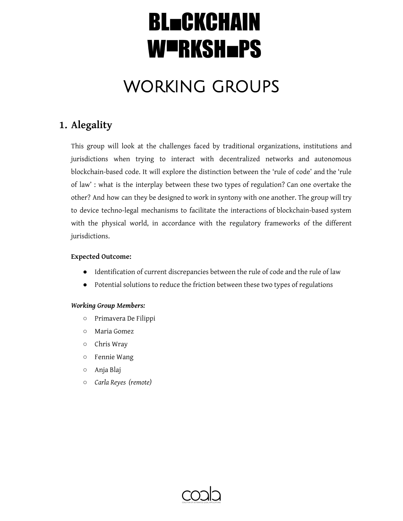## WORKING GROUPS

## **1. Alegality**

This group will look at the challenges faced by traditional organizations, institutions and jurisdictions when trying to interact with decentralized networks and autonomous blockchain-based code. It will explore the distinction between the 'rule of code' and the 'rule of law' : what is the interplay between these two types of regulation? Can one overtake the other? And how can they be designed to work in syntony with one another. The group will try to device techno-legal mechanisms to facilitate the interactions of blockchain-based system with the physical world, in accordance with the regulatory frameworks of the different jurisdictions.

#### **Expected Outcome:**

- **●** Identification of current discrepancies between the rule of code and the rule of law
- **●** Potential solutions to reduce the friction between these two types of regulations

- Primavera De Filippi
- Maria Gomez
- Chris Wray
- Fennie Wang
- Anja Blaj
- *○ Carla Reyes (remote)*

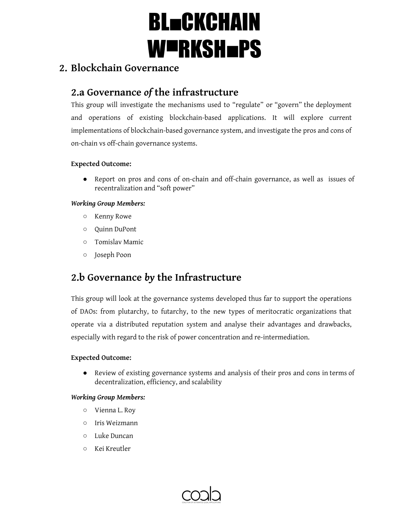### **2. Blockchain Governance**

### **2.a Governance** *of* **the infrastructure**

This group will investigate the mechanisms used to "regulate" or "govern" the deployment and operations of existing blockchain-based applications. It will explore current implementations of blockchain-based governance system, and investigate the pros and cons of on-chain vs off-chain governance systems.

#### **Expected Outcome:**

● Report on pros and cons of on-chain and off-chain governance, as well as issues of recentralization and "soft power"

#### *Working Group Members:*

- Kenny Rowe
- Quinn DuPont
- Tomislav Mamic
- Joseph Poon

### **2.b Governance** *by* **the Infrastructure**

This group will look at the governance systems developed thus far to support the operations of DAOs: from plutarchy, to futarchy, to the new types of meritocratic organizations that operate via a distributed reputation system and analyse their advantages and drawbacks, especially with regard to the risk of power concentration and re-intermediation.

#### **Expected Outcome:**

● Review of existing governance systems and analysis of their pros and cons in terms of decentralization, efficiency, and scalability

- Vienna L. Roy
- Iris Weizmann
- Luke Duncan
- Kei Kreutler

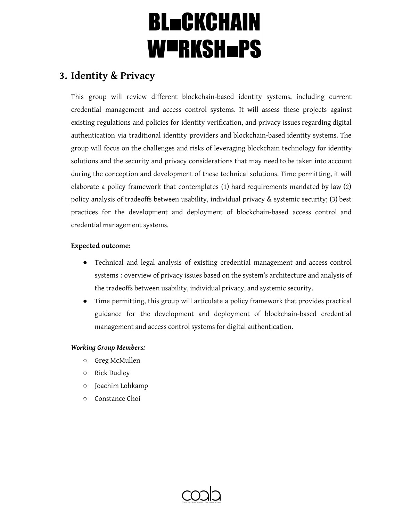### **3. Identity & Privacy**

This group will review different blockchain-based identity systems, including current credential management and access control systems. It will assess these projects against existing regulations and policies for identity verification, and privacy issues regarding digital authentication via traditional identity providers and blockchain-based identity systems. The group will focus on the challenges and risks of leveraging blockchain technology for identity solutions and the security and privacy considerations that may need to be taken into account during the conception and development of these technical solutions. Time permitting, it will elaborate a policy framework that contemplates (1) hard requirements mandated by law (2) policy analysis of tradeoffs between usability, individual privacy & systemic security; (3) best practices for the development and deployment of blockchain-based access control and credential management systems.

#### **Expected outcome:**

- Technical and legal analysis of existing credential management and access control systems : overview of privacy issues based on the system's architecture and analysis of the tradeoffs between usability, individual privacy, and systemic security.
- Time permitting, this group will articulate a policy framework that provides practical guidance for the development and deployment of blockchain-based credential management and access control systems for digital authentication.

- Greg McMullen
- Rick Dudley
- Joachim Lohkamp
- Constance Choi